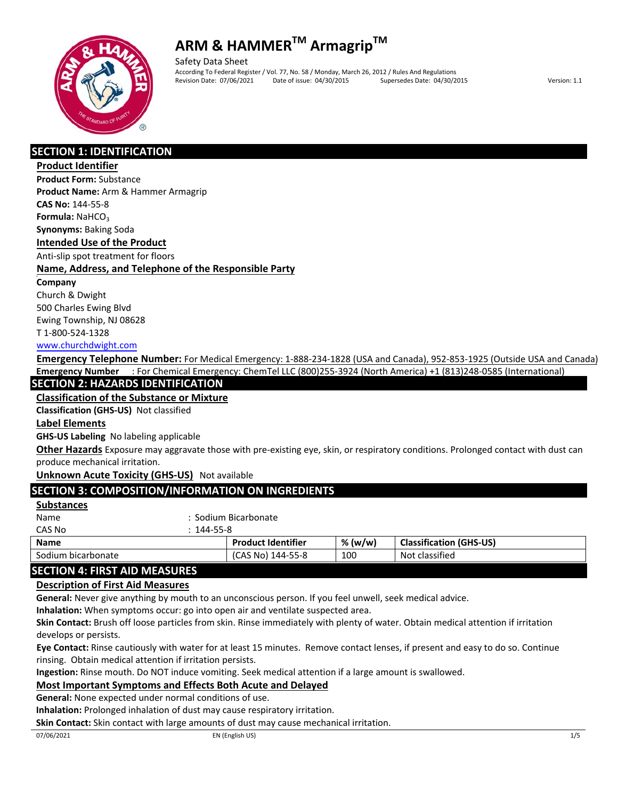

Safety Data Sheet According To Federal Register / Vol. 77, No. 58 / Monday, March 26, 2012 / Rules And Regulations Revision Date: 07/06/2021 Date of issue: 04/30/2015 Supersedes Date: 04/30/2015 Version: 1.1

## **SECTION 1: IDENTIFICATION**

#### **Product Identifier**

**Product Form:** Substance **Product Name:** Arm & Hammer Armagrip **CAS No:** 144‐55‐8

**Formula: NaHCO<sub>3</sub>** 

**Synonyms:** Baking Soda

#### **Intended Use of the Product**

Anti‐slip spot treatment for floors

## **Name, Address, and Telephone of the Responsible Party**

#### **Company**

Church & Dwight 500 Charles Ewing Blvd Ewing Township, NJ 08628

## T 1‐800‐524‐1328

#### www.churchdwight.com

**Emergency Telephone Number:** For Medical Emergency: 1-888-234-1828 (USA and Canada), 952-853-1925 (Outside USA and Canada) **Emergency Number** : For Chemical Emergency: ChemTel LLC (800)255-3924 (North America) +1 (813)248-0585 (International)

## **SECTION 2: HAZARDS IDENTIFICATION**

**Classification of the Substance or Mixture**

#### **Classification (GHS‐US)** Not classified

## **Label Elements**

**GHS‐US Labeling** No labeling applicable

**Other Hazards** Exposure may aggravate those with pre‐existing eye, skin, or respiratory conditions. Prolonged contact with dust can produce mechanical irritation.

## **Unknown Acute Toxicity (GHS‐US)** Not available

## **SECTION 3: COMPOSITION/INFORMATION ON INGREDIENTS**

#### **Substances**

| Name   | : Sodium Bicarbonate |
|--------|----------------------|
| CAS No | $: 144 - 55 - 8$     |
|        |                      |

| <b>Name</b>                     | <b>Product Identifier</b> | % (w/w) | <b>Classification (GHS-US)</b> |
|---------------------------------|---------------------------|---------|--------------------------------|
| Sodium bicarbonate              | (CAS No)<br>144-55-8      | 100     | Not classified                 |
| CECTION A. FIDET AID BAFACLIDEC |                           |         |                                |

## **SECTION 4: FIRST AID MEASURES**

## **Description of First Aid Measures**

**General:** Never give anything by mouth to an unconscious person. If you feel unwell, seek medical advice.

**Inhalation:** When symptoms occur: go into open air and ventilate suspected area.

**Skin Contact:** Brush off loose particles from skin. Rinse immediately with plenty of water. Obtain medical attention if irritation develops or persists.

**Eye Contact:** Rinse cautiously with water for at least 15 minutes. Remove contact lenses, if present and easy to do so. Continue rinsing. Obtain medical attention if irritation persists.

**Ingestion:** Rinse mouth. Do NOT induce vomiting. Seek medical attention if a large amount is swallowed.

## **Most Important Symptoms and Effects Both Acute and Delayed**

**General:** None expected under normal conditions of use.

**Inhalation:** Prolonged inhalation of dust may cause respiratory irritation.

**Skin Contact:** Skin contact with large amounts of dust may cause mechanical irritation.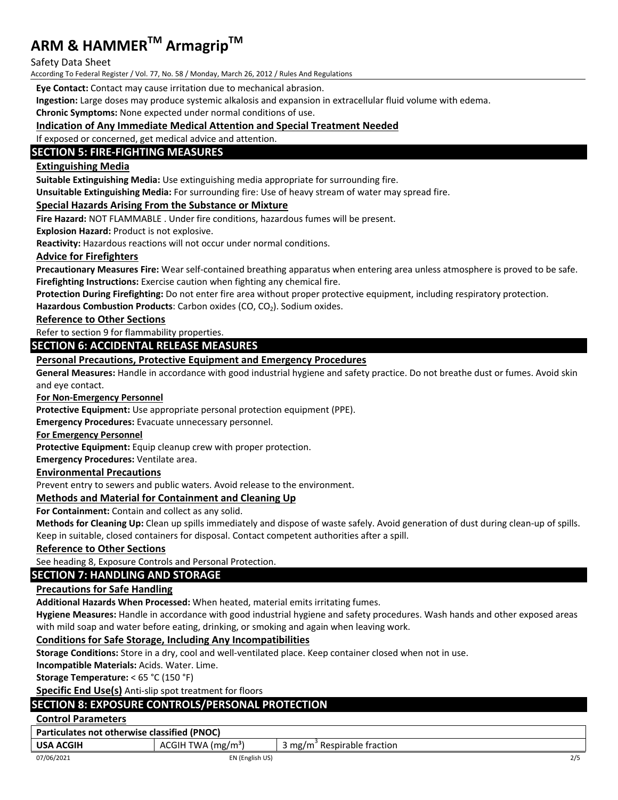#### Safety Data Sheet

According To Federal Register / Vol. 77, No. 58 / Monday, March 26, 2012 / Rules And Regulations

**Eye Contact:** Contact may cause irritation due to mechanical abrasion.

**Ingestion:** Large doses may produce systemic alkalosis and expansion in extracellular fluid volume with edema.

**Chronic Symptoms:** None expected under normal conditions of use.

#### **Indication of Any Immediate Medical Attention and Special Treatment Needed**

If exposed or concerned, get medical advice and attention.

## **SECTION 5: FIRE‐FIGHTING MEASURES**

## **Extinguishing Media**

**Suitable Extinguishing Media:** Use extinguishing media appropriate for surrounding fire.

**Unsuitable Extinguishing Media:** For surrounding fire: Use of heavy stream of water may spread fire.

#### **Special Hazards Arising From the Substance or Mixture**

**Fire Hazard:** NOT FLAMMABLE . Under fire conditions, hazardous fumes will be present.

**Explosion Hazard:** Product is not explosive.

**Reactivity:** Hazardous reactions will not occur under normal conditions.

#### **Advice for Firefighters**

**Precautionary Measures Fire:** Wear self‐contained breathing apparatus when entering area unless atmosphere is proved to be safe. **Firefighting Instructions:** Exercise caution when fighting any chemical fire.

**Protection During Firefighting:** Do not enter fire area without proper protective equipment, including respiratory protection.

Hazardous **Combustion Products**: Carbon oxides (CO, CO<sub>2</sub>). Sodium oxides.

**Reference to Other Sections**

Refer to section 9 for flammability properties.

## **SECTION 6: ACCIDENTAL RELEASE MEASURES**

#### **Personal Precautions, Protective Equipment and Emergency Procedures**

**General Measures:** Handle in accordance with good industrial hygiene and safety practice. Do not breathe dust or fumes. Avoid skin and eye contact.

**For Non‐Emergency Personnel**

**Protective Equipment:** Use appropriate personal protection equipment (PPE).

**Emergency Procedures:** Evacuate unnecessary personnel.

**For Emergency Personnel**

**Protective Equipment:** Equip cleanup crew with proper protection.

**Emergency Procedures:** Ventilate area.

#### **Environmental Precautions**

Prevent entry to sewers and public waters. Avoid release to the environment.

#### **Methods and Material for Containment and Cleaning Up**

**For Containment:** Contain and collect as any solid.

**Methods for Cleaning Up:** Clean up spills immediately and dispose of waste safely. Avoid generation of dust during clean‐up of spills. Keep in suitable, closed containers for disposal. Contact competent authorities after a spill.

#### **Reference to Other Sections**

See heading 8, Exposure Controls and Personal Protection.

#### **SECTION 7: HANDLING AND STORAGE**

#### **Precautions for Safe Handling**

**Additional Hazards When Processed:** When heated, material emits irritating fumes.

**Hygiene Measures:** Handle in accordance with good industrial hygiene and safety procedures. Wash hands and other exposed areas with mild soap and water before eating, drinking, or smoking and again when leaving work.

#### **Conditions for Safe Storage, Including Any Incompatibilities**

**Storage Conditions:** Store in a dry, cool and well‐ventilated place. Keep container closed when not in use.

**Incompatible Materials:** Acids. Water. Lime.

**Storage Temperature:** < 65 °C (150 °F)

**Specific End Use(s)** Anti‐slip spot treatment for floors

## **SECTION 8: EXPOSURE CONTROLS/PERSONAL PROTECTION**

#### **Control Parameters**

**Particulates not otherwise classified (PNOC)** 

| <b>USA ACGIH</b> | TWA $(mg/m3)$<br>ACGIH | me/m<br>' Respirable fraction |     |
|------------------|------------------------|-------------------------------|-----|
| 07/06/2021       | EN (English US)        |                               | 2/5 |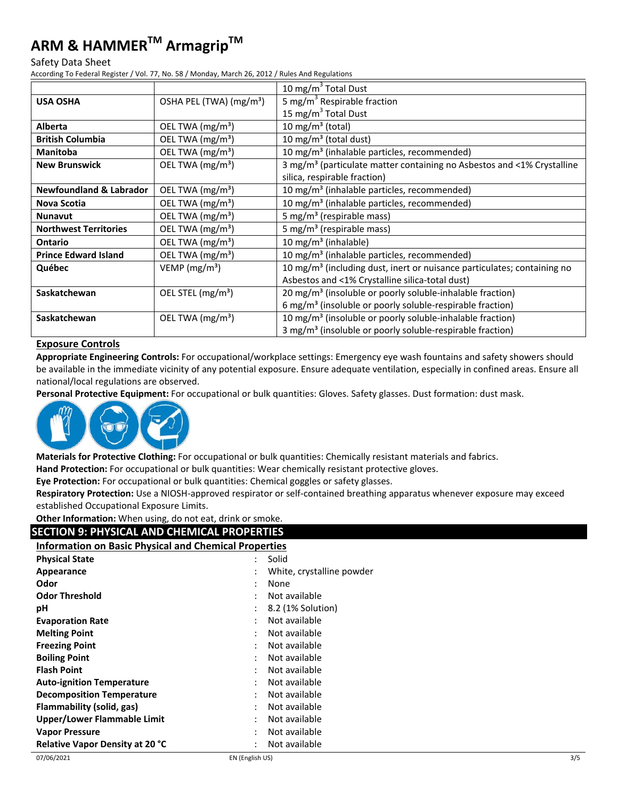#### Safety Data Sheet

According To Federal Register / Vol. 77, No. 58 / Monday, March 26, 2012 / Rules And Regulations

|                                    |                                     | 10 mg/m $3$ Total Dust                                                              |
|------------------------------------|-------------------------------------|-------------------------------------------------------------------------------------|
| <b>USA OSHA</b>                    | OSHA PEL (TWA) (mg/m <sup>3</sup> ) | 5 mg/m <sup>3</sup> Respirable fraction                                             |
|                                    |                                     | 15 mg/m <sup>3</sup> Total Dust                                                     |
| Alberta                            | OEL TWA $(mg/m3)$                   | 10 mg/m <sup>3</sup> (total)                                                        |
| <b>British Columbia</b>            | OEL TWA (mg/m <sup>3</sup> )        | 10 mg/m <sup>3</sup> (total dust)                                                   |
| <b>Manitoba</b>                    | OEL TWA (mg/m <sup>3</sup> )        | 10 mg/m <sup>3</sup> (inhalable particles, recommended)                             |
| <b>New Brunswick</b>               | OEL TWA (mg/m <sup>3</sup> )        | 3 mg/m <sup>3</sup> (particulate matter containing no Asbestos and <1% Crystalline  |
|                                    |                                     | silica, respirable fraction)                                                        |
| <b>Newfoundland &amp; Labrador</b> | OEL TWA (mg/m <sup>3</sup> )        | 10 mg/m <sup>3</sup> (inhalable particles, recommended)                             |
| Nova Scotia                        | OEL TWA (mg/m <sup>3</sup> )        | 10 mg/m <sup>3</sup> (inhalable particles, recommended)                             |
| <b>Nunavut</b>                     | OEL TWA (mg/m <sup>3</sup> )        | 5 mg/m <sup>3</sup> (respirable mass)                                               |
| <b>Northwest Territories</b>       | OEL TWA (mg/m <sup>3</sup> )        | 5 mg/m <sup>3</sup> (respirable mass)                                               |
| <b>Ontario</b>                     | OEL TWA (mg/m <sup>3</sup> )        | 10 mg/m <sup>3</sup> (inhalable)                                                    |
| <b>Prince Edward Island</b>        | OEL TWA (mg/m <sup>3</sup> )        | 10 mg/m <sup>3</sup> (inhalable particles, recommended)                             |
| Québec                             | VEMP (mg/m <sup>3</sup> )           | 10 mg/m <sup>3</sup> (including dust, inert or nuisance particulates; containing no |
|                                    |                                     | Asbestos and <1% Crystalline silica-total dust)                                     |
| Saskatchewan                       | OEL STEL (mg/m <sup>3</sup> )       | 20 mg/m <sup>3</sup> (insoluble or poorly soluble-inhalable fraction)               |
|                                    |                                     | 6 mg/m <sup>3</sup> (insoluble or poorly soluble-respirable fraction)               |
| Saskatchewan                       | OEL TWA $(mg/m3)$                   | 10 mg/m <sup>3</sup> (insoluble or poorly soluble-inhalable fraction)               |
|                                    |                                     | 3 mg/m <sup>3</sup> (insoluble or poorly soluble-respirable fraction)               |

#### **Exposure Controls**

**Appropriate Engineering Controls:** For occupational/workplace settings: Emergency eye wash fountains and safety showers should be available in the immediate vicinity of any potential exposure. Ensure adequate ventilation, especially in confined areas. Ensure all national/local regulations are observed.

**Personal Protective Equipment:** For occupational or bulk quantities: Gloves. Safety glasses. Dust formation: dust mask.



**Materials for Protective Clothing:** For occupational or bulk quantities: Chemically resistant materials and fabrics. **Hand Protection:** For occupational or bulk quantities: Wear chemically resistant protective gloves.

**Eye Protection:** For occupational or bulk quantities: Chemical goggles or safety glasses.

**Respiratory Protection:** Use a NIOSH‐approved respirator or self‐contained breathing apparatus whenever exposure may exceed established Occupational Exposure Limits.

**Other Information:** When using, do not eat, drink or smoke.

## **SECTION 9: PHYSICAL AND CHEMICAL PROPERTIES**

#### **Information on Basic Physical and Chemical Properties**

| <b>Physical State</b>                  | Solid                           |
|----------------------------------------|---------------------------------|
| Appearance                             | White, crystalline powder       |
| Odor                                   | None<br>٠                       |
| <b>Odor Threshold</b>                  | Not available                   |
| рH                                     | 8.2 (1% Solution)               |
| <b>Evaporation Rate</b>                | Not available                   |
| <b>Melting Point</b>                   | Not available                   |
| <b>Freezing Point</b>                  | Not available<br>٠              |
| <b>Boiling Point</b>                   | Not available                   |
| <b>Flash Point</b>                     | Not available                   |
| <b>Auto-ignition Temperature</b>       | Not available<br>٠              |
| <b>Decomposition Temperature</b>       | Not available                   |
| Flammability (solid, gas)              | Not available<br>:              |
| <b>Upper/Lower Flammable Limit</b>     | Not available<br>٠              |
| <b>Vapor Pressure</b>                  | Not available                   |
| <b>Relative Vapor Density at 20 °C</b> | Not available<br>$\ddot{\cdot}$ |
|                                        |                                 |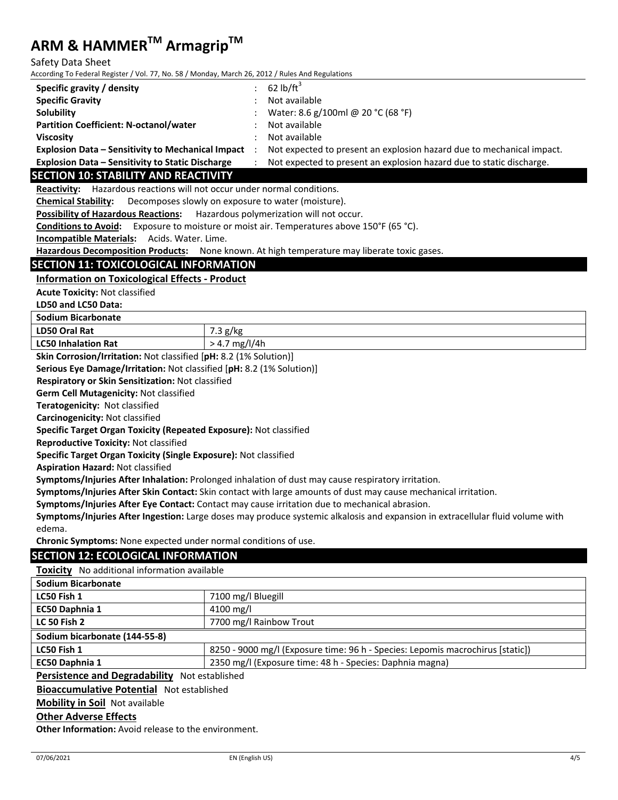Safety Data Sheet

According To Federal Register / Vol. 77, No. 58 / Monday, March 26, 2012 / Rules And Regulations

| Specific gravity / density                               | 62 lb/ft $^3$                                                         |
|----------------------------------------------------------|-----------------------------------------------------------------------|
| <b>Specific Gravity</b>                                  | Not available                                                         |
| Solubility                                               | Water: 8.6 g/100ml @ 20 °C (68 °F)                                    |
| <b>Partition Coefficient: N-octanol/water</b>            | Not available                                                         |
| <b>Viscosity</b>                                         | Not available                                                         |
| <b>Explosion Data - Sensitivity to Mechanical Impact</b> | Not expected to present an explosion hazard due to mechanical impact. |
| <b>Explosion Data - Sensitivity to Static Discharge</b>  | Not expected to present an explosion hazard due to static discharge.  |

#### **SECTION 10: STABILITY AND REACTIVITY**

**Reactivity:** Hazardous reactions will not occur under normal conditions.

**Chemical Stability:** Decomposes slowly on exposure to water (moisture).

**Possibility of Hazardous Reactions:** Hazardous polymerization will not occur.

**Conditions to Avoid:** Exposure to moisture or moist air. Temperatures above 150°F (65 °C).

**Incompatible Materials:** Acids. Water. Lime.

**Hazardous Decomposition Products:** None known. At high temperature may liberate toxic gases.

#### **SECTION 11: TOXICOLOGICAL INFORMATION**

#### **Information on Toxicological Effects ‐ Product**

**Acute Toxicity:** Not classified

**LD50 and LC50 Data:**

**Sodium Bicarbonate** 

| LD50 Oral Rat                                                                                                   | $\sim$ $\sim$<br>$\sigma$ llec<br><b>B/KB</b><br>- |  |
|-----------------------------------------------------------------------------------------------------------------|----------------------------------------------------|--|
| <b>LC50 Inhalation Rat</b>                                                                                      | mg/l/4h<br>`4.,                                    |  |
| the contract of the contract of the contract of the contract of the contract of the contract of the contract of |                                                    |  |

**Skin Corrosion/Irritation:** Not classified [**pH:** 8.2 (1% Solution)]

**Serious Eye Damage/Irritation:** Not classified [**pH:** 8.2 (1% Solution)]

**Respiratory or Skin Sensitization:** Not classified

**Germ Cell Mutagenicity:** Not classified

**Teratogenicity:** Not classified

**Carcinogenicity:** Not classified

**Specific Target Organ Toxicity (Repeated Exposure):** Not classified

**Reproductive Toxicity:** Not classified

**Specific Target Organ Toxicity (Single Exposure):** Not classified

**Aspiration Hazard:** Not classified

**Symptoms/Injuries After Inhalation:** Prolonged inhalation of dust may cause respiratory irritation.

**Symptoms/Injuries After Skin Contact:** Skin contact with large amounts of dust may cause mechanical irritation.

**Symptoms/Injuries After Eye Contact:** Contact may cause irritation due to mechanical abrasion.

**Symptoms/Injuries After Ingestion:** Large doses may produce systemic alkalosis and expansion in extracellular fluid volume with edema.

**Chronic Symptoms:** None expected under normal conditions of use.

#### **SECTION 12: ECOLOGICAL INFORMATION**

**Toxicity** No additional information available

| <b>Sodium Bicarbonate</b>                        |                                                                                |  |  |
|--------------------------------------------------|--------------------------------------------------------------------------------|--|--|
| LC50 Fish 1                                      | 7100 mg/l Bluegill                                                             |  |  |
| <b>EC50 Daphnia 1</b>                            | 4100 mg/l                                                                      |  |  |
| <b>LC 50 Fish 2</b>                              | 7700 mg/l Rainbow Trout                                                        |  |  |
| Sodium bicarbonate (144-55-8)                    |                                                                                |  |  |
| LC50 Fish 1                                      | 8250 - 9000 mg/l (Exposure time: 96 h - Species: Lepomis macrochirus [static]) |  |  |
| EC50 Daphnia 1                                   | 2350 mg/l (Exposure time: 48 h - Species: Daphnia magna)                       |  |  |
| Bandatanan and Bandadah (But at a statute to the |                                                                                |  |  |

**Persistence and Degradability** Not established

**Bioaccumulative Potential** Not established

**Mobility in Soil** Not available

## **Other Adverse Effects**

**Other Information:** Avoid release to the environment.